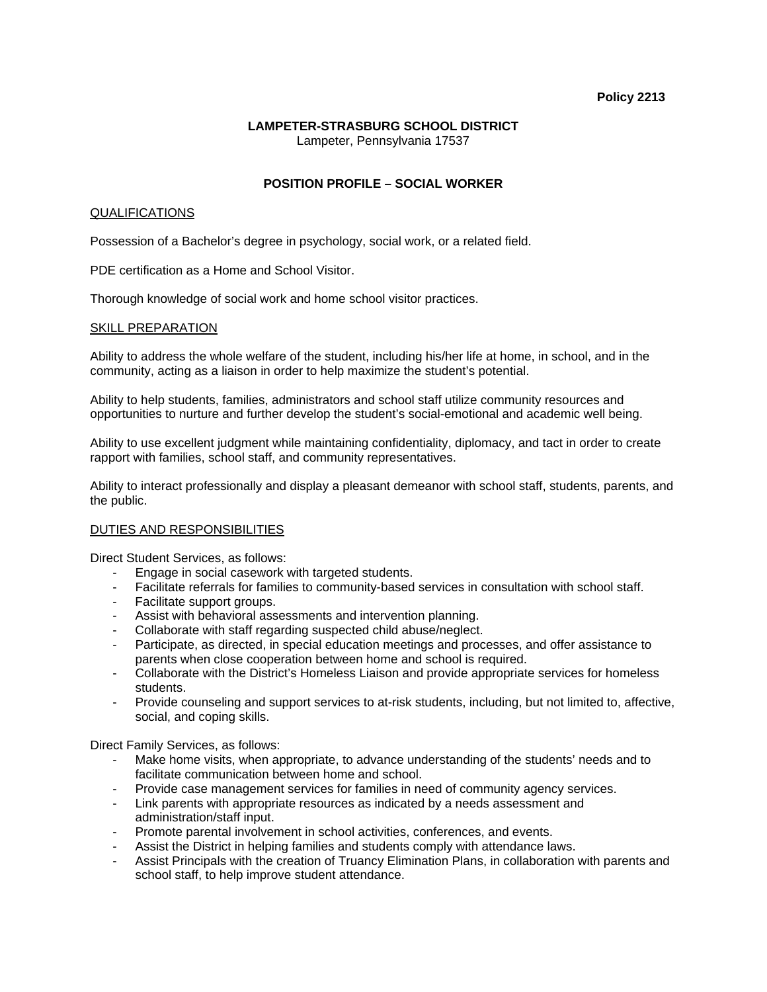#### **Policy 2213**

# **LAMPETER-STRASBURG SCHOOL DISTRICT**

Lampeter, Pennsylvania 17537

## **POSITION PROFILE – SOCIAL WORKER**

## QUALIFICATIONS

Possession of a Bachelor's degree in psychology, social work, or a related field.

PDE certification as a Home and School Visitor.

Thorough knowledge of social work and home school visitor practices.

#### SKILL PREPARATION

Ability to address the whole welfare of the student, including his/her life at home, in school, and in the community, acting as a liaison in order to help maximize the student's potential.

Ability to help students, families, administrators and school staff utilize community resources and opportunities to nurture and further develop the student's social-emotional and academic well being.

Ability to use excellent judgment while maintaining confidentiality, diplomacy, and tact in order to create rapport with families, school staff, and community representatives.

Ability to interact professionally and display a pleasant demeanor with school staff, students, parents, and the public.

## DUTIES AND RESPONSIBILITIES

Direct Student Services, as follows:

- Engage in social casework with targeted students.
- Facilitate referrals for families to community-based services in consultation with school staff.
- Facilitate support groups.
- Assist with behavioral assessments and intervention planning.
- Collaborate with staff regarding suspected child abuse/neglect.
- Participate, as directed, in special education meetings and processes, and offer assistance to parents when close cooperation between home and school is required.
- Collaborate with the District's Homeless Liaison and provide appropriate services for homeless students.
- Provide counseling and support services to at-risk students, including, but not limited to, affective, social, and coping skills.

Direct Family Services, as follows:

- Make home visits, when appropriate, to advance understanding of the students' needs and to facilitate communication between home and school.
- Provide case management services for families in need of community agency services.
- Link parents with appropriate resources as indicated by a needs assessment and administration/staff input.
- Promote parental involvement in school activities, conferences, and events.
- Assist the District in helping families and students comply with attendance laws.
- Assist Principals with the creation of Truancy Elimination Plans, in collaboration with parents and school staff, to help improve student attendance.